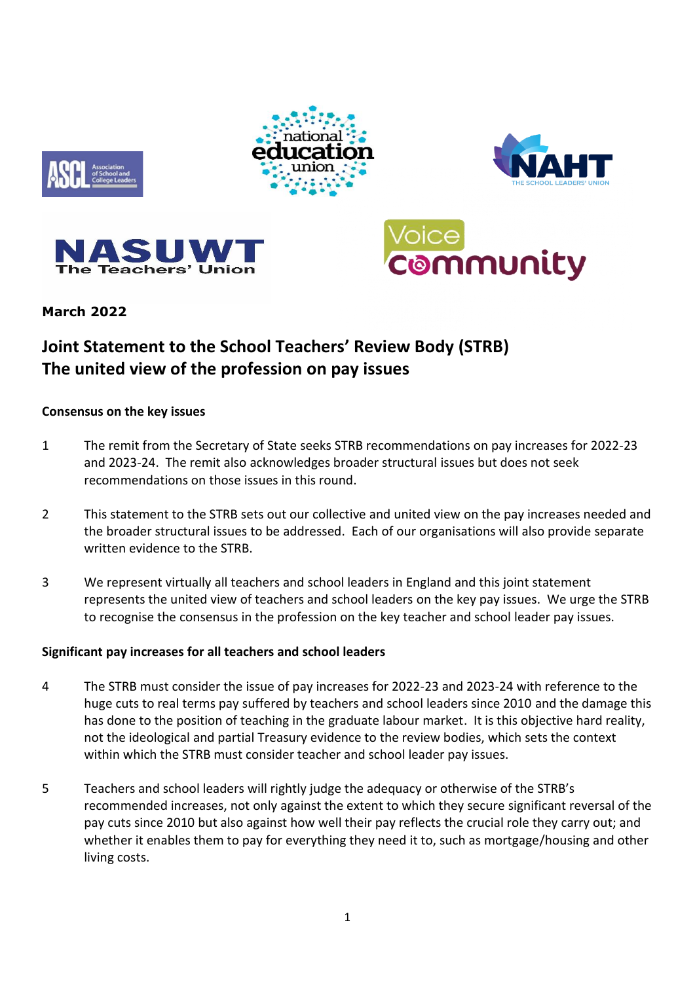









# **March 2022**

# **Joint Statement to the School Teachers' Review Body (STRB) The united view of the profession on pay issues**

#### **Consensus on the key issues**

- 1 The remit from the Secretary of State seeks STRB recommendations on pay increases for 2022-23 and 2023-24. The remit also acknowledges broader structural issues but does not seek recommendations on those issues in this round.
- 2 This statement to the STRB sets out our collective and united view on the pay increases needed and the broader structural issues to be addressed. Each of our organisations will also provide separate written evidence to the STRB.
- 3 We represent virtually all teachers and school leaders in England and this joint statement represents the united view of teachers and school leaders on the key pay issues. We urge the STRB to recognise the consensus in the profession on the key teacher and school leader pay issues.

## **Significant pay increases for all teachers and school leaders**

- 4 The STRB must consider the issue of pay increases for 2022-23 and 2023-24 with reference to the huge cuts to real terms pay suffered by teachers and school leaders since 2010 and the damage this has done to the position of teaching in the graduate labour market. It is this objective hard reality, not the ideological and partial Treasury evidence to the review bodies, which sets the context within which the STRB must consider teacher and school leader pay issues.
- 5 Teachers and school leaders will rightly judge the adequacy or otherwise of the STRB's recommended increases, not only against the extent to which they secure significant reversal of the pay cuts since 2010 but also against how well their pay reflects the crucial role they carry out; and whether it enables them to pay for everything they need it to, such as mortgage/housing and other living costs.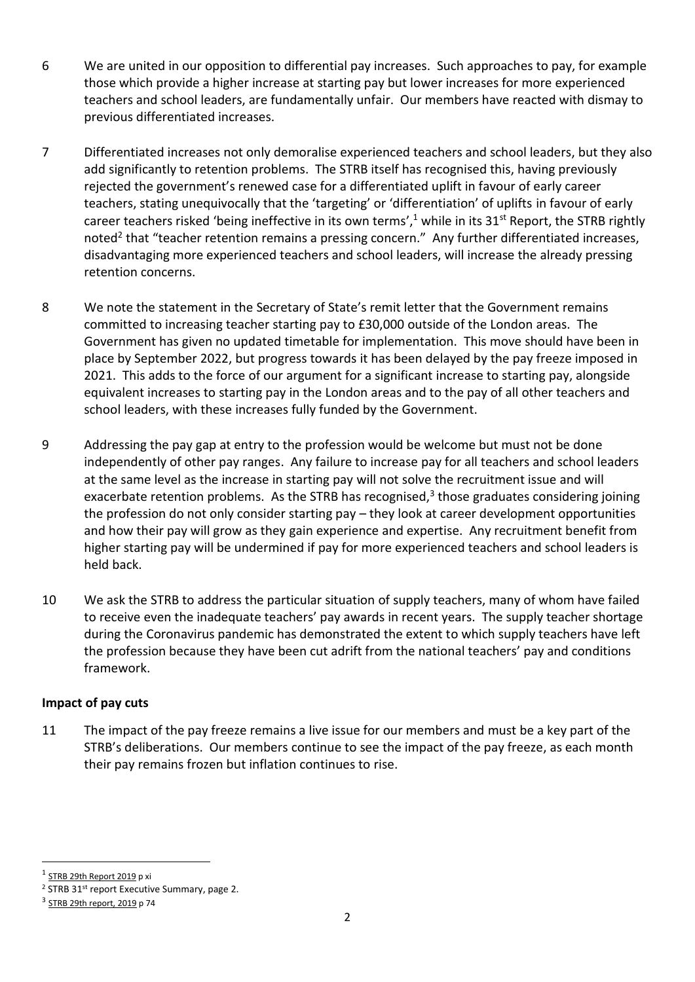- 6 We are united in our opposition to differential pay increases. Such approaches to pay, for example those which provide a higher increase at starting pay but lower increases for more experienced teachers and school leaders, are fundamentally unfair. Our members have reacted with dismay to previous differentiated increases.
- 7 Differentiated increases not only demoralise experienced teachers and school leaders, but they also add significantly to retention problems. The STRB itself has recognised this, having previously rejected the government's renewed case for a differentiated uplift in favour of early career teachers, stating unequivocally that the 'targeting' or 'differentiation' of uplifts in favour of early career teachers risked 'being ineffective in its own terms',<sup>1</sup> while in its 31<sup>st</sup> Report, the STRB rightly noted<sup>2</sup> that "teacher retention remains a pressing concern." Any further differentiated increases, disadvantaging more experienced teachers and school leaders, will increase the already pressing retention concerns.
- 8 We note the statement in the Secretary of State's remit letter that the Government remains committed to increasing teacher starting pay to £30,000 outside of the London areas. The Government has given no updated timetable for implementation. This move should have been in place by September 2022, but progress towards it has been delayed by the pay freeze imposed in 2021. This adds to the force of our argument for a significant increase to starting pay, alongside equivalent increases to starting pay in the London areas and to the pay of all other teachers and school leaders, with these increases fully funded by the Government.
- 9 Addressing the pay gap at entry to the profession would be welcome but must not be done independently of other pay ranges. Any failure to increase pay for all teachers and school leaders at the same level as the increase in starting pay will not solve the recruitment issue and will exacerbate retention problems. As the STRB has recognised,<sup>3</sup> those graduates considering joining the profession do not only consider starting pay – they look at career development opportunities and how their pay will grow as they gain experience and expertise. Any recruitment benefit from higher starting pay will be undermined if pay for more experienced teachers and school leaders is held back.
- 10 We ask the STRB to address the particular situation of supply teachers, many of whom have failed to receive even the inadequate teachers' pay awards in recent years. The supply teacher shortage during the Coronavirus pandemic has demonstrated the extent to which supply teachers have left the profession because they have been cut adrift from the national teachers' pay and conditions framework.

## **Impact of pay cuts**

11 The impact of the pay freeze remains a live issue for our members and must be a key part of the STRB's deliberations. Our members continue to see the impact of the pay freeze, as each month their pay remains frozen but inflation continues to rise.

<sup>&</sup>lt;sup>1</sup> [STRB 29th Report 2019](https://assets.publishing.service.gov.uk/government/uploads/system/uploads/attachment_data/file/819428/School_Teachers__Review_Body_29th_report_2019.pdf) p xi

<sup>&</sup>lt;sup>2</sup> STRB 31<sup>st</sup> report Executive Summary, page 2.

<sup>&</sup>lt;sup>3</sup> [STRB 29th report, 2019](https://assets.publishing.service.gov.uk/government/uploads/system/uploads/attachment_data/file/819428/School_Teachers__Review_Body_29th_report_2019.pdf) p 74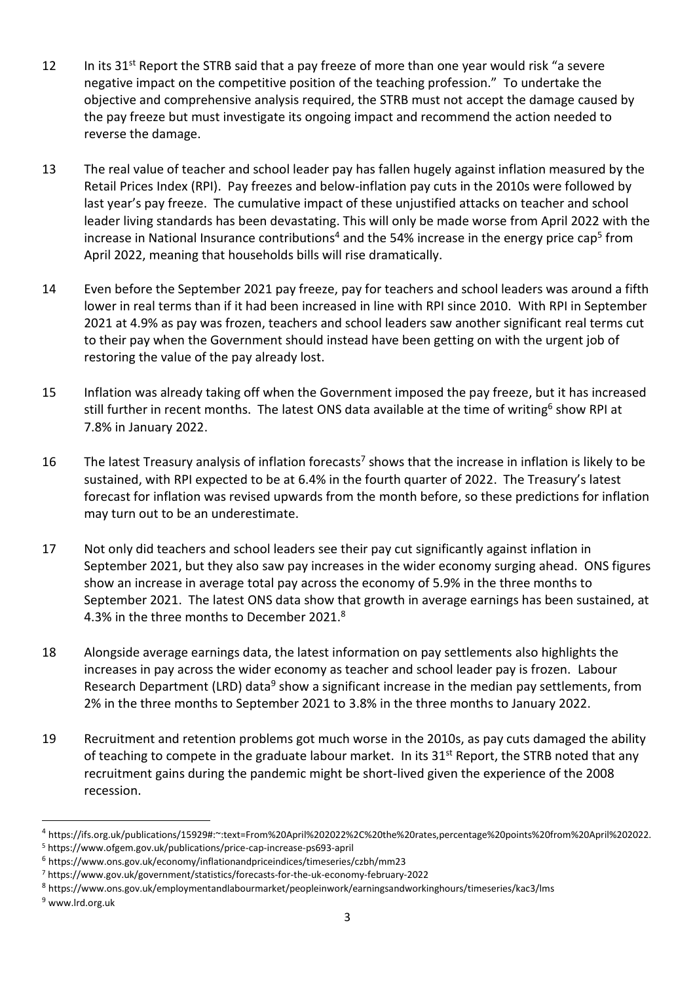- 12 In its 31<sup>st</sup> Report the STRB said that a pay freeze of more than one year would risk "a severe negative impact on the competitive position of the teaching profession." To undertake the objective and comprehensive analysis required, the STRB must not accept the damage caused by the pay freeze but must investigate its ongoing impact and recommend the action needed to reverse the damage.
- 13 The real value of teacher and school leader pay has fallen hugely against inflation measured by the Retail Prices Index (RPI). Pay freezes and below-inflation pay cuts in the 2010s were followed by last year's pay freeze. The cumulative impact of these unjustified attacks on teacher and school leader living standards has been devastating. This will only be made worse from April 2022 with the increase in National Insurance contributions<sup>4</sup> and the 54% increase in the energy price cap<sup>5</sup> from April 2022, meaning that households bills will rise dramatically.
- 14 Even before the September 2021 pay freeze, pay for teachers and school leaders was around a fifth lower in real terms than if it had been increased in line with RPI since 2010. With RPI in September 2021 at 4.9% as pay was frozen, teachers and school leaders saw another significant real terms cut to their pay when the Government should instead have been getting on with the urgent job of restoring the value of the pay already lost.
- 15 Inflation was already taking off when the Government imposed the pay freeze, but it has increased still further in recent months. The latest ONS data available at the time of writing<sup>6</sup> show RPI at 7.8% in January 2022.
- 16 The latest Treasury analysis of inflation forecasts<sup>7</sup> shows that the increase in inflation is likely to be sustained, with RPI expected to be at 6.4% in the fourth quarter of 2022. The Treasury's latest forecast for inflation was revised upwards from the month before, so these predictions for inflation may turn out to be an underestimate.
- 17 Not only did teachers and school leaders see their pay cut significantly against inflation in September 2021, but they also saw pay increases in the wider economy surging ahead. ONS figures show an increase in average total pay across the economy of 5.9% in the three months to September 2021. The latest ONS data show that growth in average earnings has been sustained, at 4.3% in the three months to December 2021.<sup>8</sup>
- 18 Alongside average earnings data, the latest information on pay settlements also highlights the increases in pay across the wider economy as teacher and school leader pay is frozen. Labour Research Department (LRD) data<sup>9</sup> show a significant increase in the median pay settlements, from 2% in the three months to September 2021 to 3.8% in the three months to January 2022.
- 19 Recruitment and retention problems got much worse in the 2010s, as pay cuts damaged the ability of teaching to compete in the graduate labour market. In its 31<sup>st</sup> Report, the STRB noted that any recruitment gains during the pandemic might be short-lived given the experience of the 2008 recession.

<sup>4</sup> https://ifs.org.uk/publications/15929#:~:text=From%20April%202022%2C%20the%20rates,percentage%20points%20from%20April%202022.

<sup>5</sup> https://www.ofgem.gov.uk/publications/price-cap-increase-ps693-april

<sup>6</sup> https://www.ons.gov.uk/economy/inflationandpriceindices/timeseries/czbh/mm23

<sup>7</sup> https://www.gov.uk/government/statistics/forecasts-for-the-uk-economy-february-2022

<sup>8</sup> https://www.ons.gov.uk/employmentandlabourmarket/peopleinwork/earningsandworkinghours/timeseries/kac3/lms

<sup>9</sup> www.lrd.org.uk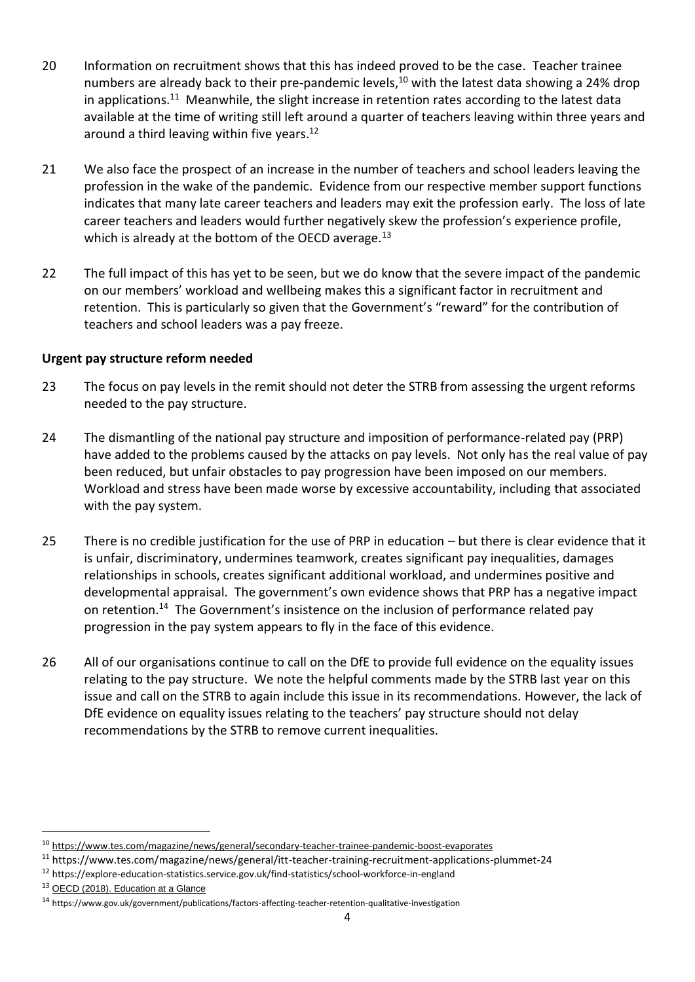- 20 Information on recruitment shows that this has indeed proved to be the case. Teacher trainee numbers are already back to their pre-pandemic levels,<sup>10</sup> with the latest data showing a 24% drop in applications.<sup>11</sup> Meanwhile, the slight increase in retention rates according to the latest data available at the time of writing still left around a quarter of teachers leaving within three years and around a third leaving within five years.<sup>12</sup>
- 21 We also face the prospect of an increase in the number of teachers and school leaders leaving the profession in the wake of the pandemic. Evidence from our respective member support functions indicates that many late career teachers and leaders may exit the profession early. The loss of late career teachers and leaders would further negatively skew the profession's experience profile, which is already at the bottom of the OECD average. $^{13}$
- 22 The full impact of this has yet to be seen, but we do know that the severe impact of the pandemic on our members' workload and wellbeing makes this a significant factor in recruitment and retention. This is particularly so given that the Government's "reward" for the contribution of teachers and school leaders was a pay freeze.

#### **Urgent pay structure reform needed**

- 23 The focus on pay levels in the remit should not deter the STRB from assessing the urgent reforms needed to the pay structure.
- 24 The dismantling of the national pay structure and imposition of performance-related pay (PRP) have added to the problems caused by the attacks on pay levels. Not only has the real value of pay been reduced, but unfair obstacles to pay progression have been imposed on our members. Workload and stress have been made worse by excessive accountability, including that associated with the pay system.
- 25 There is no credible justification for the use of PRP in education but there is clear evidence that it is unfair, discriminatory, undermines teamwork, creates significant pay inequalities, damages relationships in schools, creates significant additional workload, and undermines positive and developmental appraisal. The government's own evidence shows that PRP has a negative impact on retention.<sup>14</sup> The Government's insistence on the inclusion of performance related pay progression in the pay system appears to fly in the face of this evidence.
- 26 All of our organisations continue to call on the DfE to provide full evidence on the equality issues relating to the pay structure. We note the helpful comments made by the STRB last year on this issue and call on the STRB to again include this issue in its recommendations. However, the lack of DfE evidence on equality issues relating to the teachers' pay structure should not delay recommendations by the STRB to remove current inequalities.

<sup>12</sup> https://explore-education-statistics.service.gov.uk/find-statistics/school-workforce-in-england

<sup>10</sup> <https://www.tes.com/magazine/news/general/secondary-teacher-trainee-pandemic-boost-evaporates>

<sup>11</sup> https://www.tes.com/magazine/news/general/itt-teacher-training-recruitment-applications-plummet-24

<sup>&</sup>lt;sup>13</sup> [OECD \(2018\). Education at a Glance](http://www.oecd.org/education/education-at-a-glance/)

<sup>14</sup> https://www.gov.uk/government/publications/factors-affecting-teacher-retention-qualitative-investigation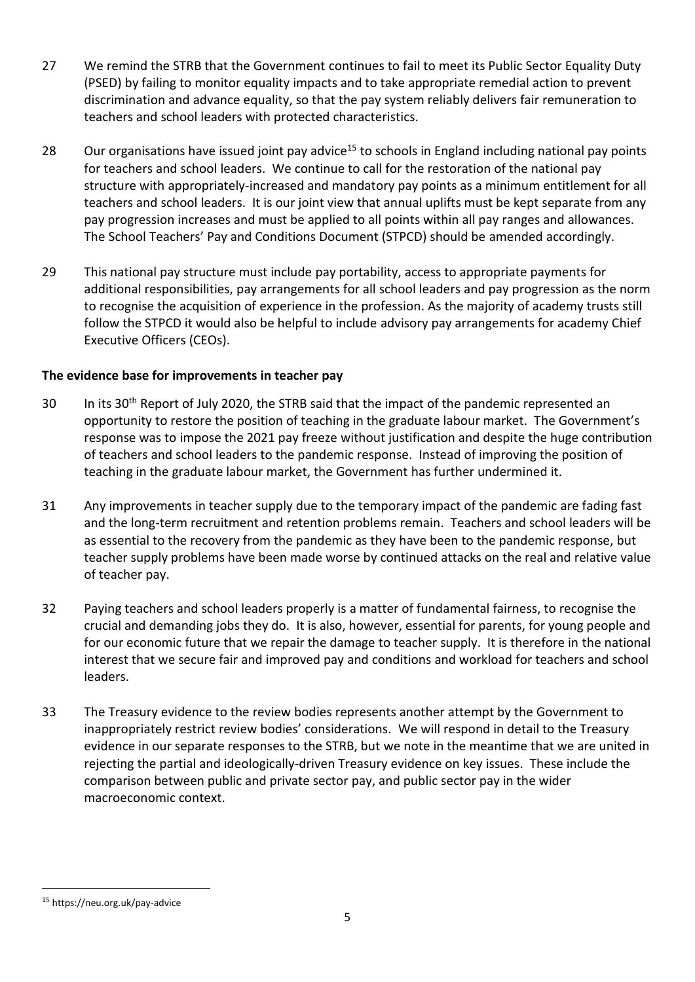- 27 We remind the STRB that the Government continues to fail to meet its Public Sector Equality Duty (PSED) by failing to monitor equality impacts and to take appropriate remedial action to prevent discrimination and advance equality, so that the pay system reliably delivers fair remuneration to teachers and school leaders with protected characteristics.
- 28 Our organisations have issued joint pay advice<sup>15</sup> to schools in England including national pay points for teachers and school leaders. We continue to call for the restoration of the national pay structure with appropriately-increased and mandatory pay points as a minimum entitlement for all teachers and school leaders. It is our joint view that annual uplifts must be kept separate from any pay progression increases and must be applied to all points within all pay ranges and allowances. The School Teachers' Pay and Conditions Document (STPCD) should be amended accordingly.
- 29 This national pay structure must include pay portability, access to appropriate payments for additional responsibilities, pay arrangements for all school leaders and pay progression as the norm to recognise the acquisition of experience in the profession. As the majority of academy trusts still follow the STPCD it would also be helpful to include advisory pay arrangements for academy Chief Executive Officers (CEOs).

## **The evidence base for improvements in teacher pay**

- 30 In its 30<sup>th</sup> Report of July 2020, the STRB said that the impact of the pandemic represented an opportunity to restore the position of teaching in the graduate labour market. The Government's response was to impose the 2021 pay freeze without justification and despite the huge contribution of teachers and school leaders to the pandemic response. Instead of improving the position of teaching in the graduate labour market, the Government has further undermined it.
- 31 Any improvements in teacher supply due to the temporary impact of the pandemic are fading fast and the long-term recruitment and retention problems remain. Teachers and school leaders will be as essential to the recovery from the pandemic as they have been to the pandemic response, but teacher supply problems have been made worse by continued attacks on the real and relative value of teacher pay.
- 32 Paying teachers and school leaders properly is a matter of fundamental fairness, to recognise the crucial and demanding jobs they do. It is also, however, essential for parents, for young people and for our economic future that we repair the damage to teacher supply. It is therefore in the national interest that we secure fair and improved pay and conditions and workload for teachers and school leaders.
- 33 The Treasury evidence to the review bodies represents another attempt by the Government to inappropriately restrict review bodies' considerations. We will respond in detail to the Treasury evidence in our separate responses to the STRB, but we note in the meantime that we are united in rejecting the partial and ideologically-driven Treasury evidence on key issues. These include the comparison between public and private sector pay, and public sector pay in the wider macroeconomic context.

<sup>15</sup> https://neu.org.uk/pay-advice